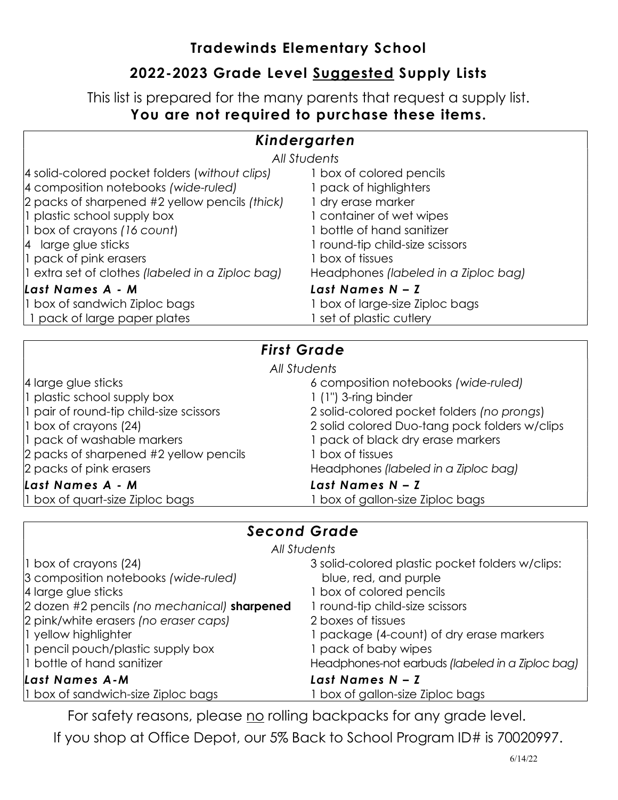### Tradewinds Elementary School

## 2022-2023 Grade Level Suggested Supply Lists

This list is prepared for the many parents that request a supply list. You are not required to purchase these items.

### Kindergarten

| All Students |
|--------------|
|--------------|

| 4 solid-colored pocket folders (without clips)   | box of colored pencils               |
|--------------------------------------------------|--------------------------------------|
| 4 composition notebooks (wide-ruled)             | 1 pack of highlighters               |
| 2 packs of sharpened #2 yellow pencils (thick)   | 1 dry erase marker                   |
| 1 plastic school supply box                      | I container of wet wipes             |
| $ 1$ box of crayons (16 count)                   | 1 bottle of hand sanitizer           |
| $ 4 $ large glue sticks                          | I round-tip child-size scissors      |
| 1 pack of pink erasers                           | box of tissues                       |
| 1 extra set of clothes (labeled in a Ziploc bag) | Headphones (labeled in a Ziploc bag) |
| Last Names A - M                                 | Last Names N - Z                     |
| 1 box of sandwich Ziploc bags                    | I box of large-size Ziploc bags      |
| 1 pack of large paper plates                     | set of plastic cutlery               |

### First Grade

| All Students                            |                                               |  |
|-----------------------------------------|-----------------------------------------------|--|
| 4 large glue sticks                     | 6 composition notebooks (wide-ruled)          |  |
| 1 plastic school supply box             | $1$ (1") 3-ring binder                        |  |
| 1 pair of round-tip child-size scissors | 2 solid-colored pocket folders (no prongs)    |  |
| 1 box of crayons (24)                   | 2 solid colored Duo-tang pock folders w/clips |  |
| 1 pack of washable markers              | 1 pack of black dry erase markers             |  |
| 2 packs of sharpened #2 yellow pencils  | 1 box of tissues                              |  |
| 2 packs of pink erasers                 | Headphones (labeled in a Ziploc bag)          |  |
| Last Names A - M                        | Last Names N - Z                              |  |
| 1 box of quart-size Ziploc bags         | I box of gallon-size Ziploc bags              |  |

### Second Grade

|  | All Students |
|--|--------------|
|--|--------------|

| $\vert$ 1 box of crayons (24)<br>3 composition notebooks (wide-ruled)<br>4 large glue sticks | 3 solid-colored plastic pocket folders w/clips:<br>blue, red, and purple<br>1 box of colored pencils |
|----------------------------------------------------------------------------------------------|------------------------------------------------------------------------------------------------------|
| 2 dozen #2 pencils (no mechanical) sharpened                                                 | 1 round-tip child-size scissors                                                                      |
| 2 pink/white erasers (no eraser caps)                                                        | 2 boxes of tissues                                                                                   |
| 1 yellow highlighter                                                                         | 1 package (4-count) of dry erase markers                                                             |
| 1 pencil pouch/plastic supply box                                                            | 1 pack of baby wipes                                                                                 |
| 1 bottle of hand sanitizer                                                                   | Headphones-not earbuds (labeled in a Ziploc bag)                                                     |
| Last Names A-M                                                                               | Last Names $N - Z$                                                                                   |
| 1 box of sandwich-size Ziploc bags                                                           | 1 box of gallon-size Ziploc bags                                                                     |

For safety reasons, please no rolling backpacks for any grade level.

If you shop at Office Depot, our 5% Back to School Program ID# is 70020997.